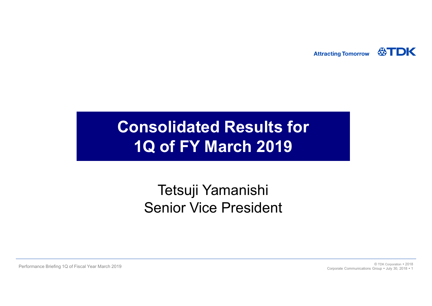**Attracting Tomorrow** 



### Consolidated Results for 1Q of FY March 2019 **olidated Results for<br>of FY March 2019**<br>Tetsuji Yamanishi<br>enior Vice President

### Senior Vice President

Performance Briefing 1Q of Fiscal Year March 2019<br>Corporation Corporation Corporation Croup + UNV 30 2018 + 1 Corporate Communications Group . July 30, 2018 . 1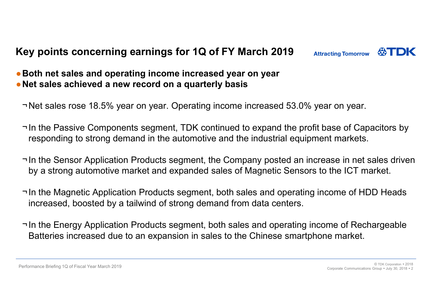### Key points concerning earnings for 1Q of FY March 2019 Attracting Tomorrow  $\bigotimes_{\text{TDK}}$



### • Both net sales and operating income increased year on year • Net sales achieved a new record on a quarterly basis

¬Net sales rose 18.5% year on year. Operating income increased 53.0% year on year.

- ¬In the Passive Components segment, TDK continued to expand the profit base of Capacitors by responding to strong demand in the automotive and the industrial equipment markets.
- ¬In the Sensor Application Products segment, the Company posted an increase in net sales driven by a strong automotive market and expanded sales of Magnetic Sensors to the ICT market.
- ¬In the Magnetic Application Products segment, both sales and operating income of HDD Heads increased, boosted by a tailwind of strong demand from data centers.
- ¬In the Energy Application Products segment, both sales and operating income of Rechargeable Batteries increased due to an expansion in sales to the Chinese smartphone market.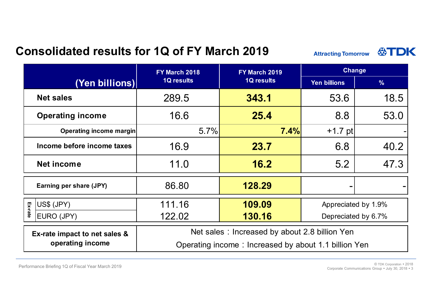### Consolidated results for 1Q of FY March 2019

| racting Tomorrow |  |
|------------------|--|

| <b>Consolidated results for 1Q of FY March 2019:</b> |               | 公TDK<br><b>Attracting Tomorrow</b>                   |                     |               |  |
|------------------------------------------------------|---------------|------------------------------------------------------|---------------------|---------------|--|
|                                                      | FY March 2018 | FY March 2019                                        | <b>Change</b>       |               |  |
| (Yen billions)                                       | 1Q results    | <b>1Q results</b>                                    | Yen billions        | $\frac{9}{6}$ |  |
| <b>Net sales</b>                                     | 289.5         | 343.1                                                | 53.6                | 18.5          |  |
| <b>Operating income</b>                              | 16.6          | 25.4                                                 | 8.8                 | 53.0          |  |
| Operating income margin                              | 5.7%          | 7.4%                                                 | $+1.7$ pt           |               |  |
| Income before income taxes                           | 16.9          | 23.7                                                 | 6.8                 | 40.2          |  |
| Net income                                           | 11.0          | 16.2                                                 | 5.2                 | 47.3          |  |
| Earning per share (JPY)                              | 86.80         | 128.29                                               |                     |               |  |
| $ US$$ (JPY)                                         | 111.16        | 109.09                                               | Appreciated by 1.9% |               |  |
| Ex-rate<br>EURO (JPY)                                | 122.02        | 130.16                                               | Depreciated by 6.7% |               |  |
| Ex-rate impact to net sales &                        |               | Net sales: Increased by about 2.8 billion Yen        |                     |               |  |
| operating income                                     |               | Operating income: Increased by about 1.1 billion Yen |                     |               |  |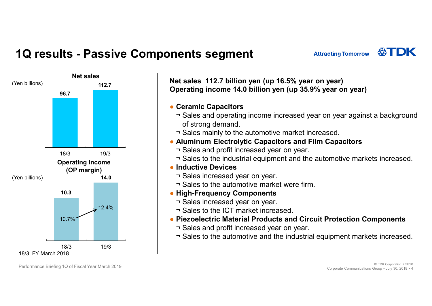# 1Q results - Passive Components segment<br>
Net sales<br>
Net sales 112.7 billion yen (up 16.5% ye<br>
Operating income 14.0 billion yen (up 16.5% ye



ments segment<br>
Net sales 112.7 billion yen (up 16.5% year on year)<br>
Operating income 14.0 billion yen (up 35.9% year on year)<br>
• Ceramic Capacitors<br>
• Sales apacitors **Operation Search Concept Concept Concept Concept Concept Concept Concept Concept Concept Concept Concept Concept Concept Concept Concept Concept Concept Concept Concept Concept Concept Concept Concept Concept Concept Con Lents segment**<br>
Matracting Tom<br>
Attracting Tom<br>
at sales 112.7 billion yen (up 16.5% year on year)<br>
peramic Capacitors<br>
The Sales and operating income increased year on year at<br>
of strong demand.<br>
The Sales mainly to the **Example 18 Segment**<br>
Matracting Tor<br>
at sales 112.7 billion yen (up 16.5% year on year)<br>
perating income 14.0 billion yen (up 35.9% year on<br>
Ceramic Capacitors<br>
Travelise and operating income increased year on year and<br>
o **EXECUTE:** Attracting Tomor<br>
Attracting Tomor<br>
attracting Income 14.0 billion yen (up 16.5% year on year)<br>
perating income 14.0 billion yen (up 35.9% year on year<br>
Ceramic Capacitors<br>
The Sales and operating income increas et sales 112.7 billion yen (up 16.5% year on year)<br>perating income 14.0 billion yen (up 35.9% year on<br>Ceramic Capacitors<br>¬ Sales and operating income increased year on year and<br>of strong demand.<br>→ Sales mainly to the auto Net sales<br>Net sales 112.7 billion yen (up 16.5% year on year)

- Ceramic Capacitors
- **ents segment**<br>
Matracting Tomorrow **QTDK**<br>
Matracting income 14.0 billion yen (up 16.5% year on year)<br>
perating income 14.0 billion yen (up 35.9% year on year)<br>
Ceramic Capacitors<br>
Travels and operating income increased y of strong demand. **ents segment**<br>
Matracting Tomorrow &<br>
Attracting Tomorrow &<br>
Attracting Tomorrow &<br>
to tales 112.7 billion yen (up 16.5% year on year)<br>
Ceramic Capacitors<br>
The Sales and operating income increased year on year against a b **ents segment**<br>
Matracting Tomorrow <br>
Sales to the sales 112.7 billion yen (up 16.5% year on year)<br>
perating income 14.0 billion yen (up 35.9% year on year)<br>
Ceramic Capacitors<br>
Tales and operating income increased year on et sales 112.7 billion yen (up 16.5% year on year)<br>perating income 14.0 billion yen (up 35.9% year on year)<br>Ceramic Capacitors<br>
→ Sales and operating income increased year on year against a backgre<br>
of strong demand.<br>
→ S **Ceramic Capacitors**<br>  $\neg$  Sales and operating income increased year on year age of strong demand.<br>  $\neg$  Sales mainly to the automotive market increased.<br> **Aluminum Electrolytic Capacitors and Film Capacitor**<br>  $\neg$  Sales Ceramic Capacitors<br>
→ Sales and operating income increased year on year against a background<br>
of strong demand.<br>
→ Sales mainly to the automotive market increased.<br>
Aluminum Electrolytic Capacitors and Film Capacitors<br>
→
	-
- Aluminum Electrolytic Capacitors and Film Capacitors
	-
- Operating income  $\Box$   $\Box$   $\Box$  Sales to the industrial equipment and the automotive markets increased.
	- Inductive Devices
		-
		-
	- High-Frequency Components
		-
	- $12.4\%$   $\qquad \qquad$   $\qquad$   $\qquad$   $\qquad$  Sales to the ICT market increased
- 10.7% **Components Components Components Piezoelectric Material Products and Circuit Protection Components** 
	-
	-

Performance Briefing 1Q of Fiscal Year March 2019 © TDK Corporation <sup>2018</sup> Corporate Communications Group . July 30, 2018 . 4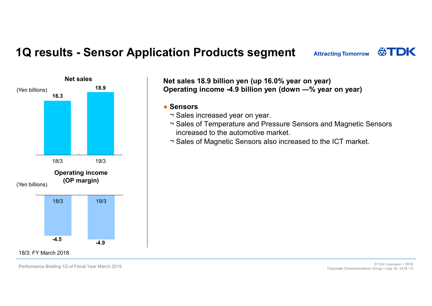# 1Q results - Sensor Application Products segment<br>
Net sales<br>
Net sales 18.9 billion yen (up 16.0% year on year)<br>
Net sales 18.9 billion yen (up 16.0% year on year)



### Net sales 18.9 billion yen (up 16.0% year on year) Operating income -4.9 billion yen (down ―% year on year) **tion Products segment**<br>
at sales 18.9 billion yen (up 16.0% year on year)<br>
perating income -4.9 billion yen (down —% year on<br>
Sensors<br>
¬ Sales increased year on year.<br>
¬ Sales of Temperature and Pressure Sensors and Ma<br>
i

### ● Sensors

- 
- **Sales of Temperature and Products Segment**<br> **Example 16.0% year on year)**<br> **Perating income -4.9 billion yen (down —% year on year)**<br>
<br>
Sensors<br>
¬ Sales increased year on year.<br>
¬ Sales of Temperature and Pressure Sensor increased to the automotive market. **tion Products segment**<br>Attracting Tomorrow  $\circledast$  TDK<br>et sales 18.9 billion yen (up 16.0% year on year)<br>perating income -4.9 billion yen (down --% year on year)<br>Sensors<br>- Sales of Temperature and Pressure Sensors and Magn
- 

18/3: FY March 2018

Performance Briefing 1Q of Fiscal Year March 2019<br>Corporate Communications Group \* 1uly 30, 2018 \* 5 Corporation of Tube 2018 at a set of the Corporation of the Corporation of Tube 2018 at a set of the Corporation of the 2 Corporate Communications Group . July 30, 2018 . 5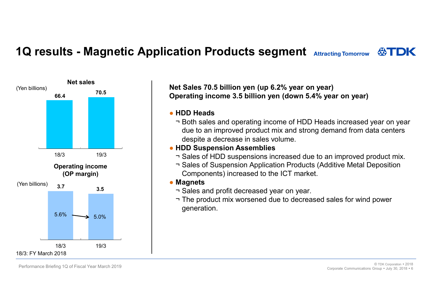# 1Q results - Magnetic Application Products segment Attracting Tomor<br>Net sales and the Mat Sales 70 5 billion van (up 6.2% voor on voor)



Net Sales 70.5 billion yen (up 6.2% year on year) Operating income 3.5 billion yen (down 5.4% year on year)

### ● HDD Heads

- **ation Products segment** Attracting Tomorrow  $\bigotimes_{i=1}^{N}$ <br>
Examples and operating income 3.5 billion yen (down 5.4% year on year)<br>
HDD Heads<br>
The Both sales and operating income of HDD Heads increased year on year<br>
due t due to an improved product mix and strong demand from data centers despite a decrease in sales volume. **ation Products segment** Attracting Tomorrow  $\bigotimes_{i=1}^{n}$ <br>
to Sales 70.5 billion yen (up 6.2% year on year)<br>
perating income 3.5 billion yen (down 5.4% year on year)<br>
HDD Heads<br>
T Both sales and operating income of HDD H **ation Products segment** Attracting Tomorrow **QSTDK**<br>
of Sales 70.5 billion yen (up 6.2% year on year)<br>
perating income 3.5 billion yen (down 5.4% year on year)<br>
HDD Heads<br>  $-$  Both sales and operating income of HDD Heads et Sales 70.5 billion yen (up 6.2% year on year)<br>perating income 3.5 billion yen (down 5.4% year on year)<br>HDD Heads<br>
– Both sales and operating income of HDD Heads increa<br>
due to an improved product mix and strong demand f et Sales 70.5 billion yen (up 6.2% year on year)<br>perating income 3.5 billion yen (down 5.4% year on year)<br>HDD Heads<br>The plass and operating income of HDD Heads increased year on year<br>due to an improved product mix and stro
- HDD Suspension Assemblies
	-
- Components) increased to the ICT market. Operating income **Sales of Suspension Application Products (Additive Metal Deposition**

### ● Magnets

- 
- generation.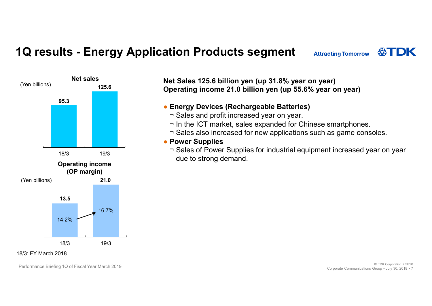# 1Q results - Energy Application Products segment<br>
Net sales<br>
(Yen billions)<br>
Net Sales 125.6 billion yen (up 31.8% year on year)



Net Sales 125.6 billion yen (up 31.8% year on year) Net sales Operating income 21.0 billion yen (up 55.6% year on year) **tion Products segment**<br> **Attracting To<br>
Attracting To**<br> **Example 21.0 billion yen (up 31.8% year on year)**<br> **Profit increased year on year.**<br>
The Sales and profit increased year on year.<br>
The ICT market, sales expanded f tion Products segment<br>
et Sales 125.6 billion yen (up 31.8% year on year)<br>
perating income 21.0 billion yen (up 55.6% year on year)<br>
Energy Devices (Rechargeable Batteries)<br>
The ICT market, sales expanded for Chinese smart

### • Energy Devices (Rechargeable Batteries)

- 
- 
- 
- Power Supplies
- tion Products segment attracting Tomorrow **QOTDK**<br>
at Sales 125.6 billion yen (up 31.8% year on year)<br>
perating income 21.0 billion yen (up 55.6% year on year)<br>
Fnergy Devices (Rechargeable Batteries)<br>
The ICT market, sale tion Products segment attracting Tomorrow **TDK**<br>et Sales 125.6 billion yen (up 31.8% year on year)<br>perating income 21.0 billion yen (up 55.6% year on year)<br>Firergy Devices (Rechargeable Batteries)<br>The Sales and profit incr due to strong demand.

Performance Briefing 1Q of Fiscal Year March 2019<br>Corporate Communications Group \* 1uly 30, 2018 \* 7 Corporate Communications Group . July 30, 2018 . 7

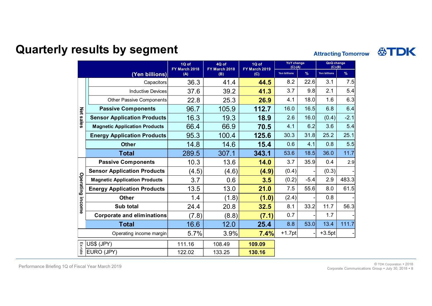### Quarterly results by segment

|                  | esults by segment                    |                        |                        |                        |                                |        |                            |        |  |
|------------------|--------------------------------------|------------------------|------------------------|------------------------|--------------------------------|--------|----------------------------|--------|--|
|                  |                                      |                        |                        |                        |                                |        | <b>Attracting Tomorrow</b> |        |  |
|                  |                                      | 1Q of<br>FY March 2018 | 4Q of<br>FY March 2018 | 1Q of<br>FY March 2019 | <b>YoY</b> change<br>$(C)-(A)$ |        | QoQ change<br>$(C)-(B)$    |        |  |
|                  | (Yen billions)                       | (A)                    | (B)                    | (C)                    | Yen billions                   | $\%$   | Yen billions               | %      |  |
|                  | Capacitors                           | 36.3                   | 41.4                   | 44.5                   | 8.2                            | 22.6   | 3.1                        | 7.5    |  |
|                  | <b>Inductive Devices</b>             | 37.6                   | 39.2                   | 41.3                   | 3.7                            | 9.8    | 2.1                        | 5.4    |  |
|                  | Other Passive Components             | 22.8                   | 25.3                   | 26.9                   | 4.1                            | 18.0   | 1.6                        | 6.3    |  |
| Net              | <b>Passive Components</b>            | 96.7                   | 105.9                  | 112.7                  | 16.0                           | 16.5   | 6.8                        | 6.4    |  |
| sales            | <b>Sensor Application Products</b>   | 16.3                   | 19.3                   | 18.9                   | 2.6                            | 16.0   | (0.4)                      | $-2.1$ |  |
|                  | <b>Magnetic Application Products</b> | 66.4                   | 66.9                   | 70.5                   | 4.1                            | 6.2    | 3.6                        | 5.4    |  |
|                  | <b>Energy Application Products</b>   | 95.3                   | 100.4                  | 125.6                  | 30.3                           | 31.8   | 25.2                       | 25.1   |  |
|                  | <b>Other</b>                         | 14.8                   | 14.6                   | 15.4                   | 0.6                            | 4.1    | 0.8                        | 5.5    |  |
|                  | <b>Total</b>                         | 289.5                  | 307.1                  | 343.1                  | 53.6                           | 18.5   | 36.0                       | 11.7   |  |
|                  | <b>Passive Components</b>            | 10.3                   | 13.6                   | 14.0                   | 3.7                            | 35.9   | 0.4                        | 2.9    |  |
|                  | <b>Sensor Application Products</b>   | (4.5)                  | (4.6)                  | (4.9)                  | (0.4)                          |        | (0.3)                      |        |  |
| Operating income | <b>Magnetic Application Products</b> | 3.7                    | 0.6                    | 3.5                    | (0.2)                          | $-5.4$ | 2.9                        | 483.3  |  |
|                  | <b>Energy Application Products</b>   | 13.5                   | 13.0                   | 21.0                   | 7.5                            | 55.6   | 8.0                        | 61.5   |  |
|                  | Other                                | 1.4                    | (1.8)                  | (1.0)                  | (2.4)                          |        | 0.8                        |        |  |
|                  | Sub total                            | 24.4                   | 20.8                   | 32.5                   | 8.1                            | 33.2   | 11.7                       | 56.3   |  |
|                  | <b>Corporate and eliminations</b>    | (7.8)                  | (8.8)                  | (7.1)                  | 0.7                            |        | 1.7                        |        |  |
|                  | <b>Total</b>                         | 16.6                   | 12.0                   | 25.4                   | 8.8                            | 53.0   | 13.4                       | 111.7  |  |
|                  | Operating income margin              | 5.7%                   | $3.9\%$                | 7.4%                   | $+1.7$ pt                      |        | $+3.5pt$                   |        |  |
| Ex-rate          | US\$ (JPY)                           | 111.16                 | 108.49                 | 109.09                 |                                |        |                            |        |  |
|                  | EURO (JPY)                           | 122.02                 | 133.25                 | 130.16                 |                                |        |                            |        |  |

Performance Briefing 1Q of Fiscal Year March 2019<br>Corporation Corporation Corporations Group + University 2018 + 8 Corporations Group + University 2018 + 8 Corporations Group + University 2018 + 8 Corporate Communications Group . July 30, 2018 . 8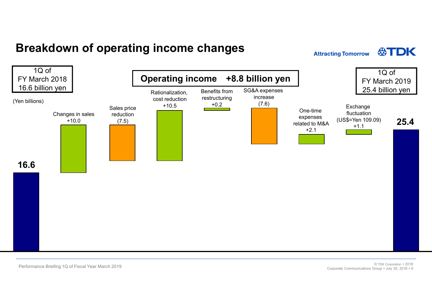### Breakdown of operating income changes **Example 20 Attracting Tomorrow**





Performance Briefing 1Q of Fiscal Year March 2019<br>Corporate Communications Group + Univ 30, 2018 + 9 Corporation of Corporation of Corporation of Texas 10 and a c Corporate Communications Group . July 30, 2018 . 9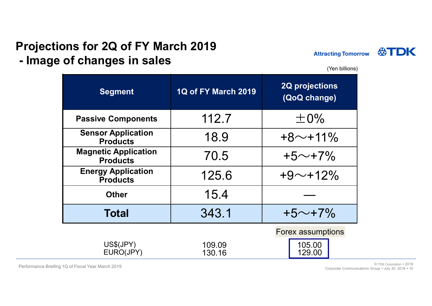### Projections for 2Q of FY March 2019



| Projections for 2Q of FY March 2019            |                            |                                              |
|------------------------------------------------|----------------------------|----------------------------------------------|
| - Image of changes in sales                    |                            | <b>Attracting Tomorrow</b><br>(Yen billions) |
| <b>Segment</b>                                 | <b>1Q of FY March 2019</b> | <b>2Q projections</b><br>(QoQ change)        |
| <b>Passive Components</b>                      | 112.7                      | $\pm 0\%$                                    |
| <b>Sensor Application</b><br><b>Products</b>   | 18.9                       | $+8$ ~+11%                                   |
| <b>Magnetic Application</b><br><b>Products</b> | 70.5                       | $+5 \sim +7\%$                               |
| <b>Energy Application</b>                      | 125.6                      | $+9$ ~+12%                                   |
| <b>Products</b>                                |                            |                                              |
| <b>Other</b>                                   | 15.4                       |                                              |

Performance Briefing 1Q of Fiscal Year March 2019<br>Corporate Communications Group • Luly 30, 2018 • 10 Corporate Communications Group . July 30, 2018 . 10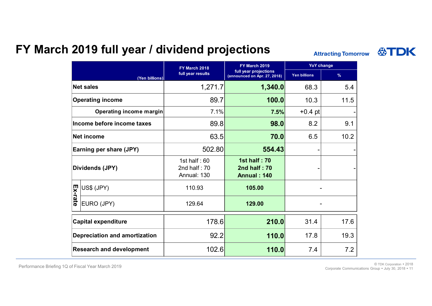### FY March 2019 full year / dividend projections **Attracting Tomorrow**

|                                                                                                                                                                                                                                                                                                | FY March 2018                                   | 2019 full year / dividend projections<br><b>FY March 2019</b> | <b>YoY change</b>   | <b>Attracting Tomorrow</b> |
|------------------------------------------------------------------------------------------------------------------------------------------------------------------------------------------------------------------------------------------------------------------------------------------------|-------------------------------------------------|---------------------------------------------------------------|---------------------|----------------------------|
| (Yen billions)                                                                                                                                                                                                                                                                                 | full year results                               | full year projections<br>(announced on Apr. 27, 2018)         | <b>Yen billions</b> | $\%$                       |
| <b>Net sales</b>                                                                                                                                                                                                                                                                               | 1,271.7                                         | 1,340.0                                                       | 68.3                | 5.4                        |
| <b>Operating income</b>                                                                                                                                                                                                                                                                        | 89.7                                            | 100.0                                                         | 10.3                | 11.5                       |
| Operating income margin                                                                                                                                                                                                                                                                        | 7.1%                                            | 7.5%                                                          | $+0.4$ pt           |                            |
| Income before income taxes                                                                                                                                                                                                                                                                     | 89.8                                            | 98.0                                                          | 8.2                 | 9.1                        |
| Net income                                                                                                                                                                                                                                                                                     | 63.5                                            | 70.0                                                          | 6.5                 | 10.2                       |
| Earning per share (JPY)                                                                                                                                                                                                                                                                        | 502.80                                          | 554.43                                                        |                     |                            |
| Dividends (JPY)                                                                                                                                                                                                                                                                                | 1st half: $60$<br>2nd half: $70$<br>Annual: 130 | <b>1st half: 70</b><br>2nd half: 70<br><b>Annual: 140</b>     |                     |                            |
|                                                                                                                                                                                                                                                                                                | 110.93                                          | 105.00                                                        |                     |                            |
| $\frac{1}{2}$ $\frac{1}{2}$ $\frac{1}{2}$ $\frac{1}{2}$ $\frac{1}{2}$ $\frac{1}{2}$ $\frac{1}{2}$ $\frac{1}{2}$ $\frac{1}{2}$ $\frac{1}{2}$ $\frac{1}{2}$ $\frac{1}{2}$ $\frac{1}{2}$ $\frac{1}{2}$ $\frac{1}{2}$ $\frac{1}{2}$ $\frac{1}{2}$ $\frac{1}{2}$ $\frac{1}{2}$<br><b>EURO (JPY)</b> | 129.64                                          | 129.00                                                        |                     |                            |
| <b>Capital expenditure</b>                                                                                                                                                                                                                                                                     | 178.6                                           | 210.0                                                         | 31.4                | 17.6                       |
| <b>Depreciation and amortization</b>                                                                                                                                                                                                                                                           | 92.2                                            | 110.0                                                         | 17.8                | 19.3                       |
| <b>Research and development</b>                                                                                                                                                                                                                                                                | 102.6                                           | 110.0                                                         | 7.4                 | 7.2                        |

Performance Briefing 1Q of Fiscal Year March 2019<br>11. Corporation Corporation Croup a luly 30, 2018 a 11 Corporate Communications Group . July 30, 2018 . 11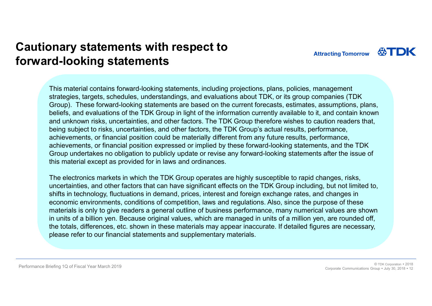### Cautionary statements with respect to forward-looking statements

**Attracting Tomorrow** 

**ASTDK** 

This material contains forward-looking statements, including projections, plans, policies, management strategies, targets, schedules, understandings, and evaluations about TDK, or its group companies (TDK Group). These forward-looking statements are based on the current forecasts, estimates, assumptions, plans, beliefs, and evaluations of the TDK Group in light of the information currently available to it, and contain known and unknown risks, uncertainties, and other factors. The TDK Group therefore wishes to caution readers that, being subject to risks, uncertainties, and other factors, the TDK Group's actual results, performance, achievements, or financial position could be materially different from any future results, performance, achievements, or financial position expressed or implied by these forward-looking statements, and the TDK Group undertakes no obligation to publicly update or revise any forward-looking statements after the issue of this material except as provided for in laws and ordinances.

The electronics markets in which the TDK Group operates are highly susceptible to rapid changes, risks, uncertainties, and other factors that can have significant effects on the TDK Group including, but not limited to, shifts in technology, fluctuations in demand, prices, interest and foreign exchange rates, and changes in economic environments, conditions of competition, laws and regulations. Also, since the purpose of these materials is only to give readers a general outline of business performance, many numerical values are shown in units of a billion yen. Because original values, which are managed in units of a million yen, are rounded off, the totals, differences, etc. shown in these materials may appear inaccurate. If detailed figures are necessary, please refer to our financial statements and supplementary materials.

Performance Briefing 1Q of Fiscal Year March 2019 © TDK Corporation <sup>2018</sup> Corporate Communications Group . July 30, 2018 . 12